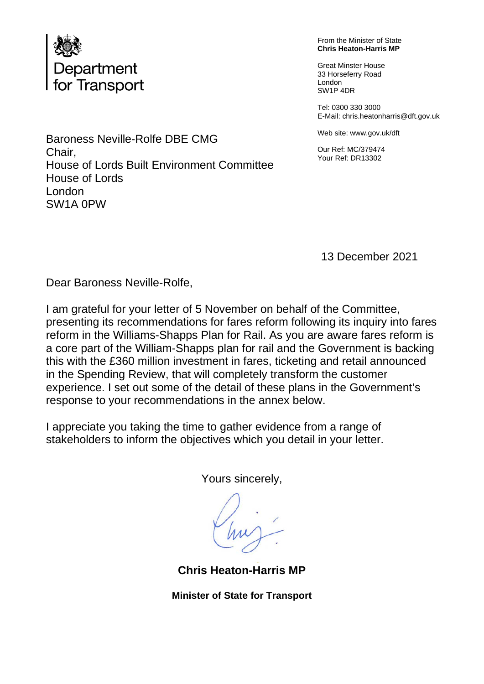

From the Minister of State **Chris Heaton-Harris MP**

Great Minster House 33 Horseferry Road London SW1P 4DR

Tel: 0300 330 3000 E-Mail: chris.heatonharris@dft.gov.uk

Web site: www.gov.uk/dft

Our Ref: MC/379474 Your Ref: DR13302

Baroness Neville-Rolfe DBE CMG Chair, House of Lords Built Environment Committee House of Lords London SW1A 0PW

13 December 2021

Dear Baroness Neville-Rolfe,

I am grateful for your letter of 5 November on behalf of the Committee, presenting its recommendations for fares reform following its inquiry into fares reform in the Williams-Shapps Plan for Rail. As you are aware fares reform is a core part of the William-Shapps plan for rail and the Government is backing this with the £360 million investment in fares, ticketing and retail announced in the Spending Review, that will completely transform the customer experience. I set out some of the detail of these plans in the Government's response to your recommendations in the annex below.

I appreciate you taking the time to gather evidence from a range of stakeholders to inform the objectives which you detail in your letter.

Yours sincerely,

**Chris Heaton-Harris MP**

**Minister of State for Transport**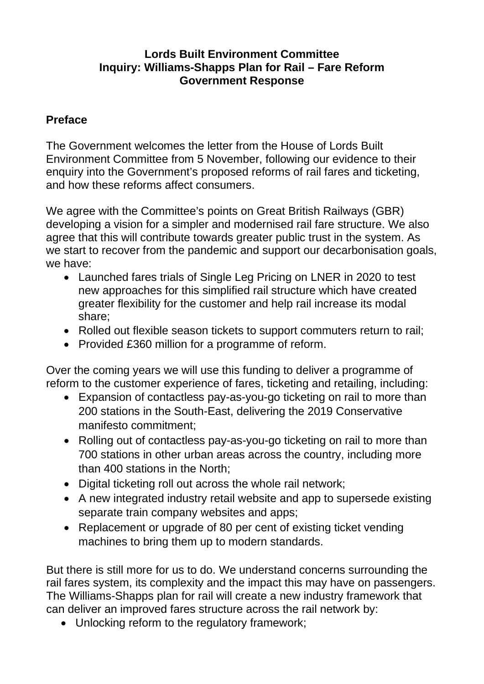# **Lords Built Environment Committee Inquiry: Williams-Shapps Plan for Rail – Fare Reform Government Response**

# **Preface**

The Government welcomes the letter from the House of Lords Built Environment Committee from 5 November, following our evidence to their enquiry into the Government's proposed reforms of rail fares and ticketing, and how these reforms affect consumers.

We agree with the Committee's points on Great British Railways (GBR) developing a vision for a simpler and modernised rail fare structure. We also agree that this will contribute towards greater public trust in the system. As we start to recover from the pandemic and support our decarbonisation goals, we have:

- Launched fares trials of Single Leg Pricing on LNER in 2020 to test new approaches for this simplified rail structure which have created greater flexibility for the customer and help rail increase its modal share;
- Rolled out flexible season tickets to support commuters return to rail;
- Provided £360 million for a programme of reform.

Over the coming years we will use this funding to deliver a programme of reform to the customer experience of fares, ticketing and retailing, including:

- Expansion of contactless pay-as-you-go ticketing on rail to more than 200 stations in the South-East, delivering the 2019 Conservative manifesto commitment;
- Rolling out of contactless pay-as-you-go ticketing on rail to more than 700 stations in other urban areas across the country, including more than 400 stations in the North;
- Digital ticketing roll out across the whole rail network;
- A new integrated industry retail website and app to supersede existing separate train company websites and apps;
- Replacement or upgrade of 80 per cent of existing ticket vending machines to bring them up to modern standards.

But there is still more for us to do. We understand concerns surrounding the rail fares system, its complexity and the impact this may have on passengers. The Williams-Shapps plan for rail will create a new industry framework that can deliver an improved fares structure across the rail network by:

• Unlocking reform to the regulatory framework;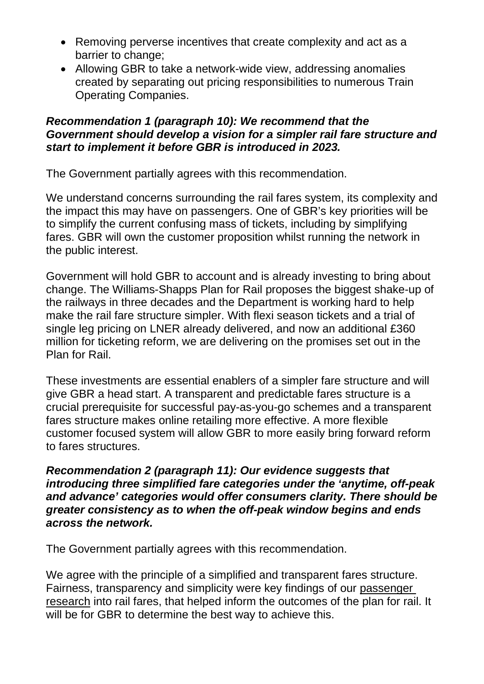- Removing perverse incentives that create complexity and act as a barrier to change;
- Allowing GBR to take a network-wide view, addressing anomalies created by separating out pricing responsibilities to numerous Train Operating Companies.

## *Recommendation 1 (paragraph 10): We recommend that the Government should develop a vision for a simpler rail fare structure and start to implement it before GBR is introduced in 2023.*

The Government partially agrees with this recommendation.

We understand concerns surrounding the rail fares system, its complexity and the impact this may have on passengers. One of GBR's key priorities will be to simplify the current confusing mass of tickets, including by simplifying fares. GBR will own the customer proposition whilst running the network in the public interest.

Government will hold GBR to account and is already investing to bring about change. The Williams-Shapps Plan for Rail proposes the biggest shake-up of the railways in three decades and the Department is working hard to help make the rail fare structure simpler. With flexi season tickets and a trial of single leg pricing on LNER already delivered, and now an additional £360 million for ticketing reform, we are delivering on the promises set out in the Plan for Rail.

These investments are essential enablers of a simpler fare structure and will give GBR a head start. A transparent and predictable fares structure is a crucial prerequisite for successful pay-as-you-go schemes and a transparent fares structure makes online retailing more effective. A more flexible customer focused system will allow GBR to more easily bring forward reform to fares structures.

*Recommendation 2 (paragraph 11): Our evidence suggests that introducing three simplified fare categories under the 'anytime, off-peak and advance' categories would offer consumers clarity. There should be greater consistency as to when the off-peak window begins and ends across the network.*

The Government partially agrees with this recommendation.

We agree with the principle of a simplified and transparent fares structure. Fairness, transparency and simplicity were key findings of our [passenger](https://assets.publishing.service.gov.uk/government/uploads/system/uploads/attachment_data/file/991030/rail-fares-and-pricing-research-report.pdf)  [research](https://assets.publishing.service.gov.uk/government/uploads/system/uploads/attachment_data/file/991030/rail-fares-and-pricing-research-report.pdf) into rail fares, that helped inform the outcomes of the plan for rail. It will be for GBR to determine the best way to achieve this.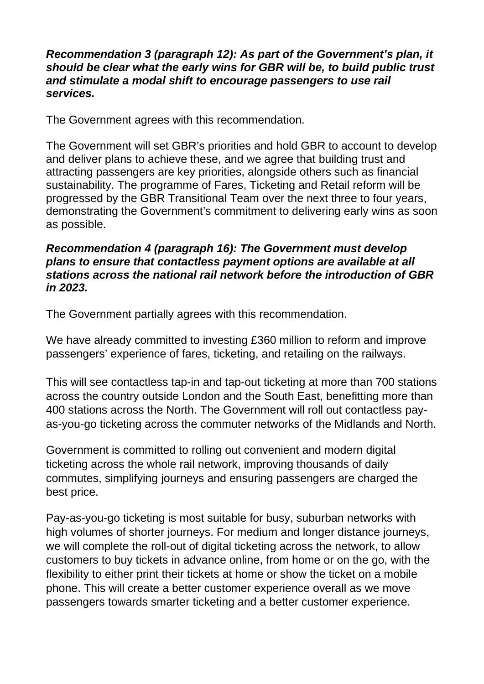#### *Recommendation 3 (paragraph 12): As part of the Government's plan, it should be clear what the early wins for GBR will be, to build public trust and stimulate a modal shift to encourage passengers to use rail services.*

The Government agrees with this recommendation.

The Government will set GBR's priorities and hold GBR to account to develop and deliver plans to achieve these, and we agree that building trust and attracting passengers are key priorities, alongside others such as financial sustainability. The programme of Fares, Ticketing and Retail reform will be progressed by the GBR Transitional Team over the next three to four years, demonstrating the Government's commitment to delivering early wins as soon as possible.

#### *Recommendation 4 (paragraph 16): The Government must develop plans to ensure that contactless payment options are available at all stations across the national rail network before the introduction of GBR in 2023.*

The Government partially agrees with this recommendation.

We have already committed to investing £360 million to reform and improve passengers' experience of fares, ticketing, and retailing on the railways.

This will see contactless tap-in and tap-out ticketing at more than 700 stations across the country outside London and the South East, benefitting more than 400 stations across the North. The Government will roll out contactless payas-you-go ticketing across the commuter networks of the Midlands and North.

Government is committed to rolling out convenient and modern digital ticketing across the whole rail network, improving thousands of daily commutes, simplifying journeys and ensuring passengers are charged the best price.

Pay-as-you-go ticketing is most suitable for busy, suburban networks with high volumes of shorter journeys. For medium and longer distance journeys, we will complete the roll-out of digital ticketing across the network, to allow customers to buy tickets in advance online, from home or on the go, with the flexibility to either print their tickets at home or show the ticket on a mobile phone. This will create a better customer experience overall as we move passengers towards smarter ticketing and a better customer experience.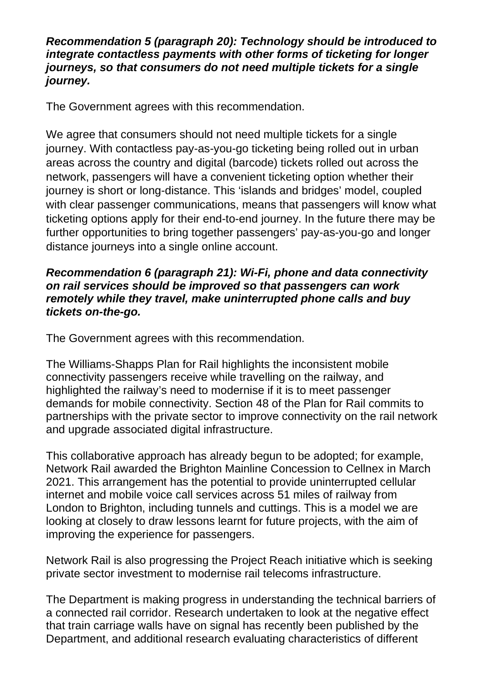#### *Recommendation 5 (paragraph 20): Technology should be introduced to integrate contactless payments with other forms of ticketing for longer journeys, so that consumers do not need multiple tickets for a single journey.*

The Government agrees with this recommendation.

We agree that consumers should not need multiple tickets for a single journey. With contactless pay-as-you-go ticketing being rolled out in urban areas across the country and digital (barcode) tickets rolled out across the network, passengers will have a convenient ticketing option whether their journey is short or long-distance. This 'islands and bridges' model, coupled with clear passenger communications, means that passengers will know what ticketing options apply for their end-to-end journey. In the future there may be further opportunities to bring together passengers' pay-as-you-go and longer distance journeys into a single online account.

## *Recommendation 6 (paragraph 21): Wi-Fi, phone and data connectivity on rail services should be improved so that passengers can work remotely while they travel, make uninterrupted phone calls and buy tickets on-the-go.*

The Government agrees with this recommendation.

The Williams-Shapps Plan for Rail highlights the inconsistent mobile connectivity passengers receive while travelling on the railway, and highlighted the railway's need to modernise if it is to meet passenger demands for mobile connectivity. Section 48 of the Plan for Rail commits to partnerships with the private sector to improve connectivity on the rail network and upgrade associated digital infrastructure.

This collaborative approach has already begun to be adopted; for example, Network Rail awarded the Brighton Mainline Concession to Cellnex in March 2021. This arrangement has the potential to provide uninterrupted cellular internet and mobile voice call services across 51 miles of railway from London to Brighton, including tunnels and cuttings. This is a model we are looking at closely to draw lessons learnt for future projects, with the aim of improving the experience for passengers.

Network Rail is also progressing the Project Reach initiative which is seeking private sector investment to modernise rail telecoms infrastructure.

The Department is making progress in understanding the technical barriers of a connected rail corridor. Research undertaken to look at the negative effect that train carriage walls have on signal has recently been published by the Department, and additional research evaluating characteristics of different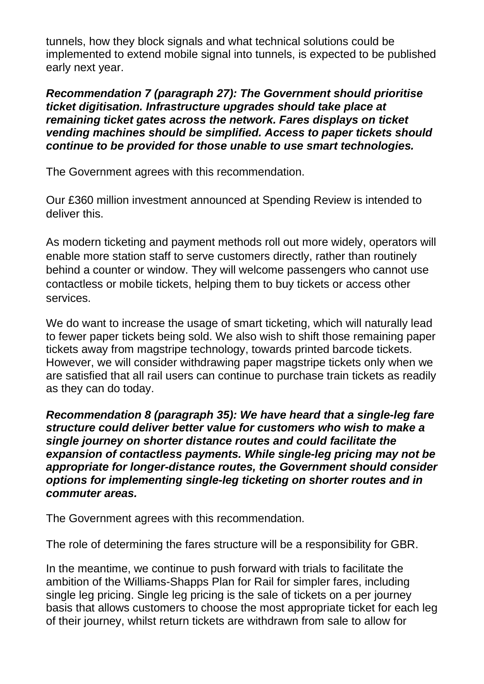tunnels, how they block signals and what technical solutions could be implemented to extend mobile signal into tunnels, is expected to be published early next year.

*Recommendation 7 (paragraph 27): The Government should prioritise ticket digitisation. Infrastructure upgrades should take place at remaining ticket gates across the network. Fares displays on ticket vending machines should be simplified. Access to paper tickets should continue to be provided for those unable to use smart technologies.*

The Government agrees with this recommendation.

Our £360 million investment announced at Spending Review is intended to deliver this.

As modern ticketing and payment methods roll out more widely, operators will enable more station staff to serve customers directly, rather than routinely behind a counter or window. They will welcome passengers who cannot use contactless or mobile tickets, helping them to buy tickets or access other services.

We do want to increase the usage of smart ticketing, which will naturally lead to fewer paper tickets being sold. We also wish to shift those remaining paper tickets away from magstripe technology, towards printed barcode tickets. However, we will consider withdrawing paper magstripe tickets only when we are satisfied that all rail users can continue to purchase train tickets as readily as they can do today.

*Recommendation 8 (paragraph 35): We have heard that a single-leg fare structure could deliver better value for customers who wish to make a single journey on shorter distance routes and could facilitate the expansion of contactless payments. While single-leg pricing may not be appropriate for longer-distance routes, the Government should consider options for implementing single-leg ticketing on shorter routes and in commuter areas.*

The Government agrees with this recommendation.

The role of determining the fares structure will be a responsibility for GBR.

In the meantime, we continue to push forward with trials to facilitate the ambition of the Williams-Shapps Plan for Rail for simpler fares, including single leg pricing. Single leg pricing is the sale of tickets on a per journey basis that allows customers to choose the most appropriate ticket for each leg of their journey, whilst return tickets are withdrawn from sale to allow for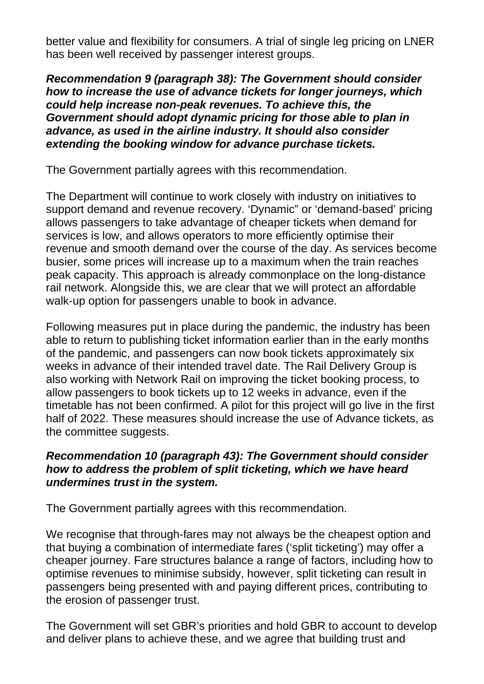better value and flexibility for consumers. A trial of single leg pricing on LNER has been well received by passenger interest groups.

*Recommendation 9 (paragraph 38): The Government should consider how to increase the use of advance tickets for longer journeys, which could help increase non-peak revenues. To achieve this, the Government should adopt dynamic pricing for those able to plan in advance, as used in the airline industry. It should also consider extending the booking window for advance purchase tickets.*

The Government partially agrees with this recommendation.

The Department will continue to work closely with industry on initiatives to support demand and revenue recovery. 'Dynamic" or 'demand-based' pricing allows passengers to take advantage of cheaper tickets when demand for services is low, and allows operators to more efficiently optimise their revenue and smooth demand over the course of the day. As services become busier, some prices will increase up to a maximum when the train reaches peak capacity. This approach is already commonplace on the long-distance rail network. Alongside this, we are clear that we will protect an affordable walk-up option for passengers unable to book in advance.

Following measures put in place during the pandemic, the industry has been able to return to publishing ticket information earlier than in the early months of the pandemic, and passengers can now book tickets approximately six weeks in advance of their intended travel date. The Rail Delivery Group is also working with Network Rail on improving the ticket booking process, to allow passengers to book tickets up to 12 weeks in advance, even if the timetable has not been confirmed. A pilot for this project will go live in the first half of 2022. These measures should increase the use of Advance tickets, as the committee suggests.

# *Recommendation 10 (paragraph 43): The Government should consider how to address the problem of split ticketing, which we have heard undermines trust in the system.*

The Government partially agrees with this recommendation.

We recognise that through-fares may not always be the cheapest option and that buying a combination of intermediate fares ('split ticketing') may offer a cheaper journey. Fare structures balance a range of factors, including how to optimise revenues to minimise subsidy, however, split ticketing can result in passengers being presented with and paying different prices, contributing to the erosion of passenger trust.

The Government will set GBR's priorities and hold GBR to account to develop and deliver plans to achieve these, and we agree that building trust and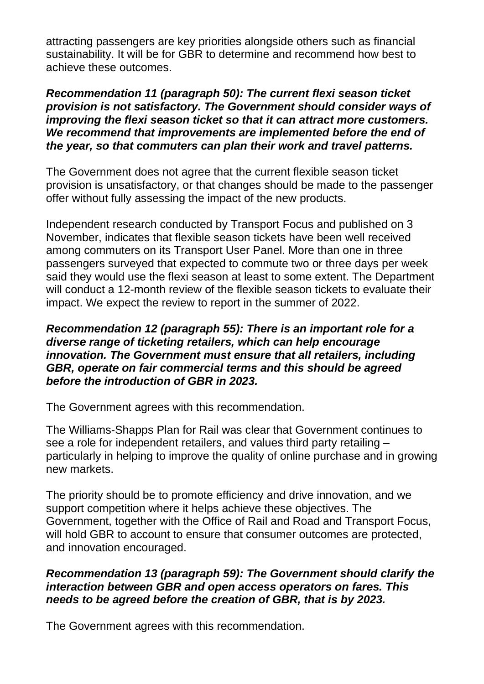attracting passengers are key priorities alongside others such as financial sustainability. It will be for GBR to determine and recommend how best to achieve these outcomes.

### *Recommendation 11 (paragraph 50): The current flexi season ticket provision is not satisfactory. The Government should consider ways of improving the flexi season ticket so that it can attract more customers. We recommend that improvements are implemented before the end of the year, so that commuters can plan their work and travel patterns.*

The Government does not agree that the current flexible season ticket provision is unsatisfactory, or that changes should be made to the passenger offer without fully assessing the impact of the new products.

Independent research conducted by Transport Focus and published on 3 November, indicates that flexible season tickets have been well received among commuters on its Transport User Panel. More than one in three passengers surveyed that expected to commute two or three days per week said they would use the flexi season at least to some extent. The Department will conduct a 12-month review of the flexible season tickets to evaluate their impact. We expect the review to report in the summer of 2022.

## *Recommendation 12 (paragraph 55): There is an important role for a diverse range of ticketing retailers, which can help encourage innovation. The Government must ensure that all retailers, including GBR, operate on fair commercial terms and this should be agreed before the introduction of GBR in 2023.*

The Government agrees with this recommendation.

The Williams-Shapps Plan for Rail was clear that Government continues to see a role for independent retailers, and values third party retailing – particularly in helping to improve the quality of online purchase and in growing new markets.

The priority should be to promote efficiency and drive innovation, and we support competition where it helps achieve these objectives. The Government, together with the Office of Rail and Road and Transport Focus, will hold GBR to account to ensure that consumer outcomes are protected, and innovation encouraged.

# *Recommendation 13 (paragraph 59): The Government should clarify the interaction between GBR and open access operators on fares. This needs to be agreed before the creation of GBR, that is by 2023.*

The Government agrees with this recommendation.